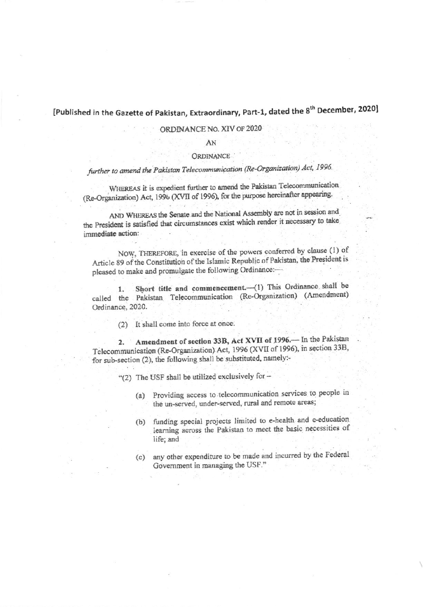## [Published in the Gazette of Pakistan, Extraordinary, Part-1, dated the 8<sup>th</sup> December, 2020]

### ORDINANCE No. XIV OF 2020

AN

#### **ORDINANCE**

### further to amend the Pakistan Telecommunication (Re-Organization) Act, 1996.

WHEREAS it is expedient further to amend the Pakistan Telecommunication (Re-Organization) Act, 1996 (XVII of 1996), for the purpose hereinafter appearing.

AND WHEREAS the Senate and the National Assembly are not in session and the President is satisfied that circumstances exist which render it necessary to take immediate action:

NOW, THEREFORE, in exercise of the powers conferred by clause (1) of Article 89 of the Constitution of the Islamic Republic of Pakistan, the President is pleased to make and promulgate the following Ordinance:-

Short title and commencement.-(1) This Ordinance shall be  $1.$ called the Pakistan Telecommunication (Re-Organization) (Amendment) Ordinance, 2020.

(2) It shall come into force at once.

2. Amendment of section 33B, Act XVII of 1996. In the Pakistan Telecommunication (Re-Organization) Act, 1996 (XVII of 1996), in section 33B, for sub-section (2), the following shall be substituted, namely:-

- "(2) The USF shall be utilized exclusively for -
	- (a) Providing access to telecommunication services to people in the un-served, under-served, rural and remote areas;
	- funding special projects limited to e-health and e-education  $(b)$ learning across the Pakistan to meet the basic necessities of life; and
	- (c) any other expenditure to be made and incurred by the Federal Government in managing the USF."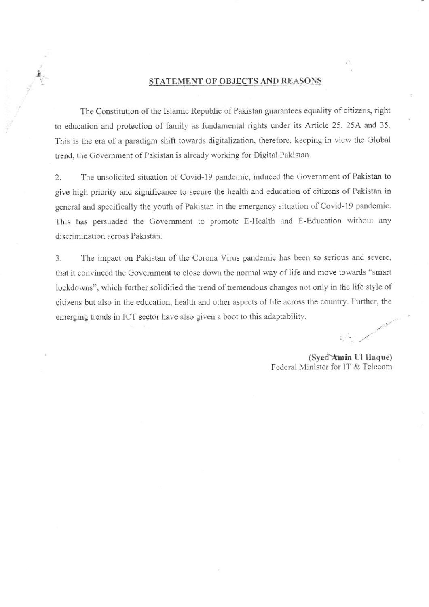### STATEMENT OF OBJECTS AND REASONS

The Constitution of the Islamic Republic of Pakistan guarantees equality of citizens, right to education and protection of family as fundamental rights under its Article 25, 25A and 35. This is the era of a paradigm shift towards digitalization, therefore, keeping in view the Global trend, the Government of Pakistan is already working for Digital Pakistan.

The unsolicited situation of Covid-19 pandemic, induced the Government of Pakistan to 2. give high priority and significance to secure the health and education of citizens of Pakistan in general and specifically the youth of Pakistan in the emergency situation of Covid-19 pandemic. This has persuaded the Government to promote E-Health and E-Education without any discrimination across Pakistan.

3. The impact on Pakistan of the Corona Virus pandemic has been so serious and severe, that it convinced the Government to close down the normal way of life and move towards "smart lockdowns", which further solidified the trend of tremendous changes not only in the life style of citizens but also in the education, health and other aspects of life across the country. Further, the emerging trends in ICT sector have also given a boot to this adaptability.

(Syed Amin Ul Haque) Federal Minister for IT & Telecom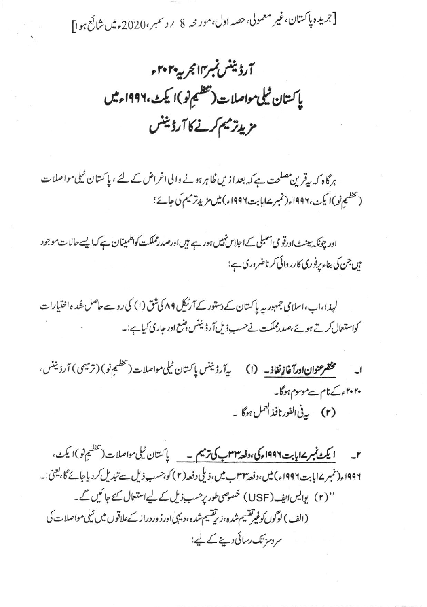[جریدہ پاکستان،غیر معمولی، حصہ اول،مور خہ 8 پروسمبر،2020ء میں شائع ہوا]

آرڈیننس نمبر۱۴ مجربہ ۲۰۲۰ء یا کستان ٹیلی مواصلات(تفظیم نو)ا کیٹ،۱۹۹۶ء میں مزيدتر ميم كرنے كا آرڈیننس

ہرگاہ کہ پیقرین مصلحت ہے کہ بعدازیں ظاہر ہونے والی اغراض کے لئے ، پاکستان ٹیلی مواصلات (تخطيم نو )ا يكث،١٩٩٢ء(نمبر ١٤ إيت ١٩٩٦ء) ميس مزيدتر ميم كى جائے؛

اور چونکہ بینٹ اورتو می آسمبلی کےاجلاس نہیں ہور ہے ہیں اورصدرمملکت کواظمینان ہے کہ ایسے حالا ت موجود ہیں جن کی بناء یرفوری کارروائی کرناضروری ہے؛

لہذا،اب،اسلامی جمہور پہ پاکستان کے دستور کےآرٹیکل ۸۹ کی شق (۱) کی روسے حاصل شُدہ اختیارات کواستعال کرتے ہوئے ،صدرمملکت نےحسب ذیل آرڈیننس وشع اور جاری کیا ہے:۔

بەآرۋىنىس پاكىتان ٹىلىمواصلات(تىظىم نو) (ترمیمى) آرۇىنىس، مخضر عنوان اورآغاز نفاذ۔ (١) ۲۰۲۰ء کےنام سے موسوم ہوگا۔ (۲) يەنى الفورنافذالىمل ہوگا ۔

۲۔ **ایکٹ نمبر ۱۷ پابت ۱۹۹۶ء کی،دفعہ ۳۳ب کی ترمیم ۔** پاکستان ٹیلی مواصلات (تنظیم نو)ا یکٹ، ۱۹۹۶ء( نمبر ۱۷یابت۱۹۹۶ء) میں،وفعہ ۳۳ب میں،ذیلی دفعہ(۲) کو،حسب ذیل سے تبدیل کردیاجائے گا،یعنی:۔ ''(۲) یوایس ایف (USF) خصوصی طور پرحسب ذیل کے لیے استعال کئے جائیں گے۔ (الف) لوگوں کوغیرتقسیم شدہ،زیرتقسیم شدہ،دیہی اور ڈوردراز کےعلاقوں میں ٹیلی مواصلات کی سروسز تک رسائی دینے کے لیے؛